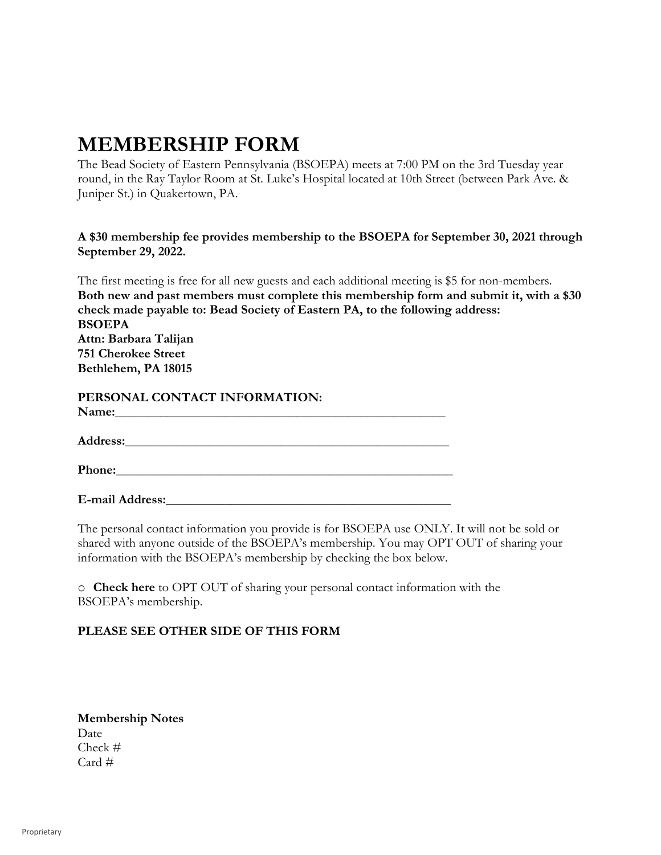## **MEMBERSHIP FORM**

The Bead Society of Eastern Pennsylvania (BSOEPA) meets at 7:00 PM on the 3rd Tuesday year round, in the Ray Taylor Room at St. Luke's Hospital located at 10th Street (between Park Ave. & Juniper St.) in Quakertown, PA.

## **A \$30 membership fee provides membership to the BSOEPA for September 30, 2021 through September 29, 2022.**

The first meeting is free for all new guests and each additional meeting is \$5 for non-members. **Both new and past members must complete this membership form and submit it, with a \$30 check made payable to: Bead Society of Eastern PA, to the following address: BSOEPA Attn: Barbara Talijan 751 Cherokee Street Bethlehem, PA 18015**

| PERSONAL CONTACT INFORMATION: |  |
|-------------------------------|--|
| Name:                         |  |

**Address:\_\_\_\_\_\_\_\_\_\_\_\_\_\_\_\_\_\_\_\_\_\_\_\_\_\_\_\_\_\_\_\_\_\_\_\_\_\_\_\_\_\_\_\_\_\_\_\_\_\_**

**Phone:** 

**E-mail Address:\_\_\_\_\_\_\_\_\_\_\_\_\_\_\_\_\_\_\_\_\_\_\_\_\_\_\_\_\_\_\_\_\_\_\_\_\_\_\_\_\_\_\_\_**

The personal contact information you provide is for BSOEPA use ONLY. It will not be sold or shared with anyone outside of the BSOEPA's membership. You may OPT OUT of sharing your information with the BSOEPA's membership by checking the box below.

o **Check here** to OPT OUT of sharing your personal contact information with the BSOEPA's membership.

## **PLEASE SEE OTHER SIDE OF THIS FORM**

| <b>Membership Notes</b> |
|-------------------------|
| Date                    |
| Check $#$               |
| $Card \#$               |